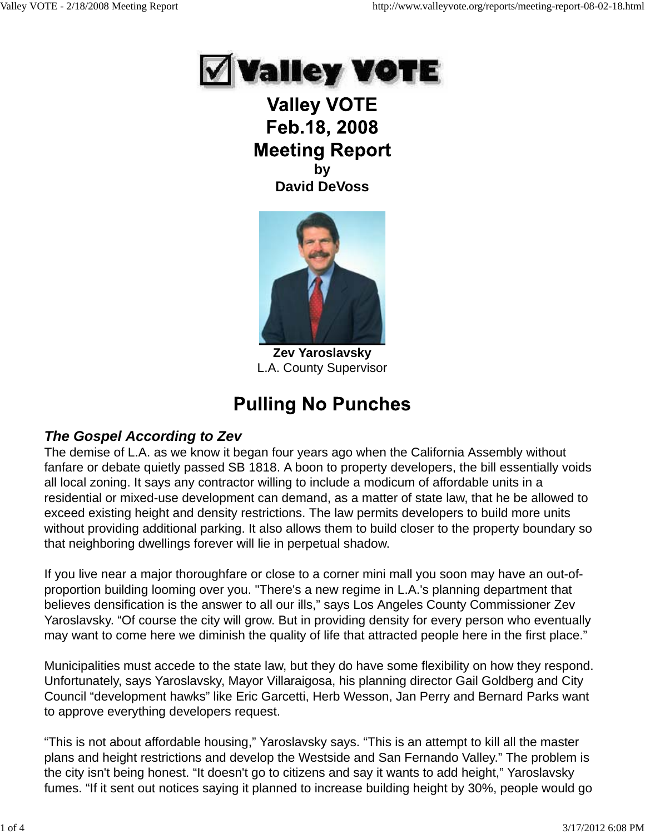

**Valley VOTE** Feb.18, 2008 **Meeting Report by David DeVoss**



**Zev Yaroslavsky** L.A. County Supervisor

# **Pulling No Punches**

## *The Gospel According to Zev*

The demise of L.A. as we know it began four years ago when the California Assembly without fanfare or debate quietly passed SB 1818. A boon to property developers, the bill essentially voids all local zoning. It says any contractor willing to include a modicum of affordable units in a residential or mixed-use development can demand, as a matter of state law, that he be allowed to exceed existing height and density restrictions. The law permits developers to build more units without providing additional parking. It also allows them to build closer to the property boundary so that neighboring dwellings forever will lie in perpetual shadow.

If you live near a major thoroughfare or close to a corner mini mall you soon may have an out-ofproportion building looming over you. "There's a new regime in L.A.'s planning department that believes densification is the answer to all our ills," says Los Angeles County Commissioner Zev Yaroslavsky. "Of course the city will grow. But in providing density for every person who eventually may want to come here we diminish the quality of life that attracted people here in the first place."

Municipalities must accede to the state law, but they do have some flexibility on how they respond. Unfortunately, says Yaroslavsky, Mayor Villaraigosa, his planning director Gail Goldberg and City Council "development hawks" like Eric Garcetti, Herb Wesson, Jan Perry and Bernard Parks want to approve everything developers request.

"This is not about affordable housing," Yaroslavsky says. "This is an attempt to kill all the master plans and height restrictions and develop the Westside and San Fernando Valley." The problem is the city isn't being honest. "It doesn't go to citizens and say it wants to add height," Yaroslavsky fumes. "If it sent out notices saying it planned to increase building height by 30%, people would go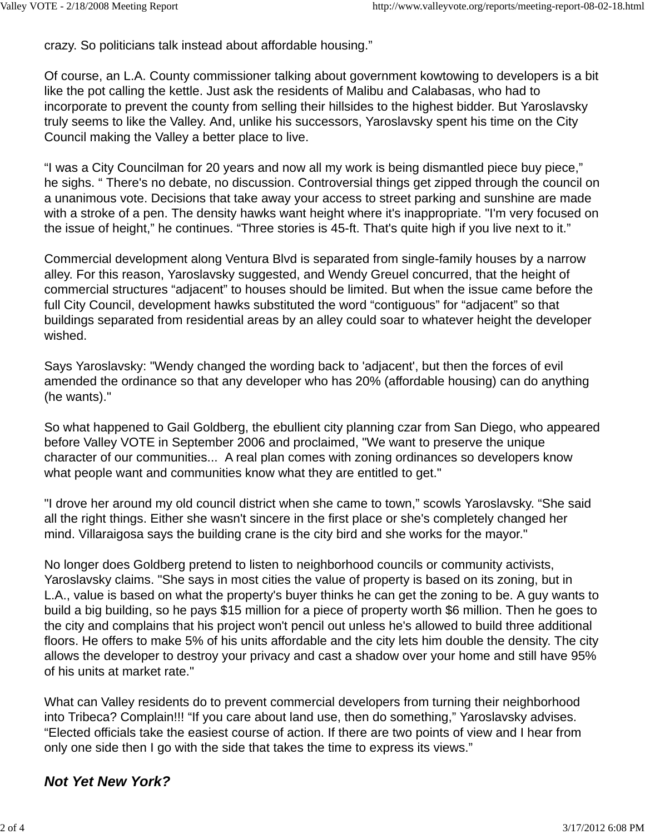crazy. So politicians talk instead about affordable housing."

Of course, an L.A. County commissioner talking about government kowtowing to developers is a bit like the pot calling the kettle. Just ask the residents of Malibu and Calabasas, who had to incorporate to prevent the county from selling their hillsides to the highest bidder. But Yaroslavsky truly seems to like the Valley. And, unlike his successors, Yaroslavsky spent his time on the City Council making the Valley a better place to live.

"I was a City Councilman for 20 years and now all my work is being dismantled piece buy piece," he sighs. " There's no debate, no discussion. Controversial things get zipped through the council on a unanimous vote. Decisions that take away your access to street parking and sunshine are made with a stroke of a pen. The density hawks want height where it's inappropriate. "I'm very focused on the issue of height," he continues. "Three stories is 45-ft. That's quite high if you live next to it."

Commercial development along Ventura Blvd is separated from single-family houses by a narrow alley. For this reason, Yaroslavsky suggested, and Wendy Greuel concurred, that the height of commercial structures "adjacent" to houses should be limited. But when the issue came before the full City Council, development hawks substituted the word "contiguous" for "adjacent" so that buildings separated from residential areas by an alley could soar to whatever height the developer wished.

Says Yaroslavsky: "Wendy changed the wording back to 'adjacent', but then the forces of evil amended the ordinance so that any developer who has 20% (affordable housing) can do anything (he wants)."

So what happened to Gail Goldberg, the ebullient city planning czar from San Diego, who appeared before Valley VOTE in September 2006 and proclaimed, "We want to preserve the unique character of our communities... A real plan comes with zoning ordinances so developers know what people want and communities know what they are entitled to get."

"I drove her around my old council district when she came to town," scowls Yaroslavsky. "She said all the right things. Either she wasn't sincere in the first place or she's completely changed her mind. Villaraigosa says the building crane is the city bird and she works for the mayor."

No longer does Goldberg pretend to listen to neighborhood councils or community activists, Yaroslavsky claims. "She says in most cities the value of property is based on its zoning, but in L.A., value is based on what the property's buyer thinks he can get the zoning to be. A guy wants to build a big building, so he pays \$15 million for a piece of property worth \$6 million. Then he goes to the city and complains that his project won't pencil out unless he's allowed to build three additional floors. He offers to make 5% of his units affordable and the city lets him double the density. The city allows the developer to destroy your privacy and cast a shadow over your home and still have 95% of his units at market rate."

What can Valley residents do to prevent commercial developers from turning their neighborhood into Tribeca? Complain!!! "If you care about land use, then do something," Yaroslavsky advises. "Elected officials take the easiest course of action. If there are two points of view and I hear from only one side then I go with the side that takes the time to express its views."

## *Not Yet New York?*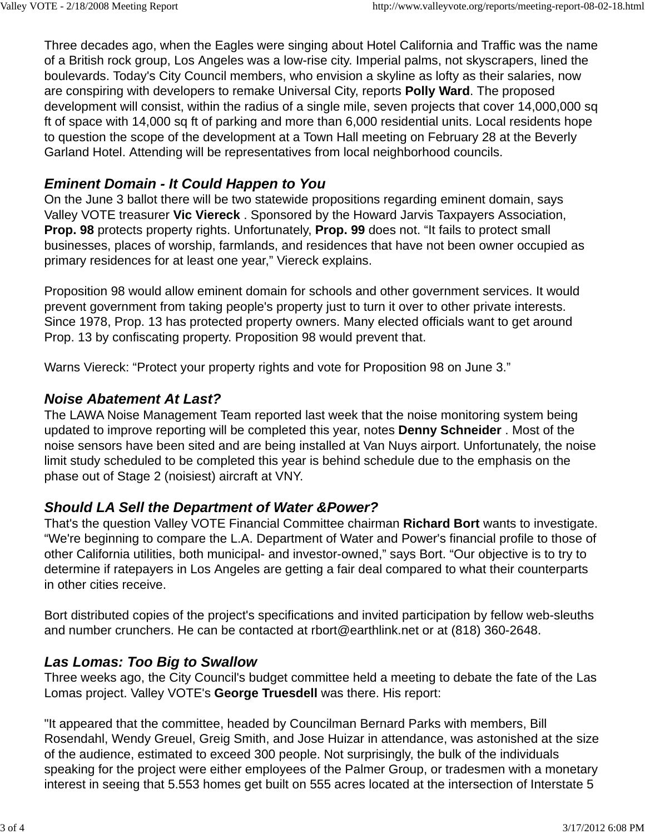Three decades ago, when the Eagles were singing about Hotel California and Traffic was the name of a British rock group, Los Angeles was a low-rise city. Imperial palms, not skyscrapers, lined the boulevards. Today's City Council members, who envision a skyline as lofty as their salaries, now are conspiring with developers to remake Universal City, reports **Polly Ward**. The proposed development will consist, within the radius of a single mile, seven projects that cover 14,000,000 sq ft of space with 14,000 sq ft of parking and more than 6,000 residential units. Local residents hope to question the scope of the development at a Town Hall meeting on February 28 at the Beverly Garland Hotel. Attending will be representatives from local neighborhood councils.

## *Eminent Domain - It Could Happen to You*

On the June 3 ballot there will be two statewide propositions regarding eminent domain, says Valley VOTE treasurer **Vic Viereck** . Sponsored by the Howard Jarvis Taxpayers Association, **Prop. 98** protects property rights. Unfortunately, **Prop. 99** does not. "It fails to protect small businesses, places of worship, farmlands, and residences that have not been owner occupied as primary residences for at least one year," Viereck explains.

Proposition 98 would allow eminent domain for schools and other government services. It would prevent government from taking people's property just to turn it over to other private interests. Since 1978, Prop. 13 has protected property owners. Many elected officials want to get around Prop. 13 by confiscating property. Proposition 98 would prevent that.

Warns Viereck: "Protect your property rights and vote for Proposition 98 on June 3."

### *Noise Abatement At Last?*

The LAWA Noise Management Team reported last week that the noise monitoring system being updated to improve reporting will be completed this year, notes **Denny Schneider** . Most of the noise sensors have been sited and are being installed at Van Nuys airport. Unfortunately, the noise limit study scheduled to be completed this year is behind schedule due to the emphasis on the phase out of Stage 2 (noisiest) aircraft at VNY.

## *Should LA Sell the Department of Water &Power?*

That's the question Valley VOTE Financial Committee chairman **Richard Bort** wants to investigate. "We're beginning to compare the L.A. Department of Water and Power's financial profile to those of other California utilities, both municipal- and investor-owned," says Bort. "Our objective is to try to determine if ratepayers in Los Angeles are getting a fair deal compared to what their counterparts in other cities receive.

Bort distributed copies of the project's specifications and invited participation by fellow web-sleuths and number crunchers. He can be contacted at rbort@earthlink.net or at (818) 360-2648.

## *Las Lomas: Too Big to Swallow*

Three weeks ago, the City Council's budget committee held a meeting to debate the fate of the Las Lomas project. Valley VOTE's **George Truesdell** was there. His report:

"It appeared that the committee, headed by Councilman Bernard Parks with members, Bill Rosendahl, Wendy Greuel, Greig Smith, and Jose Huizar in attendance, was astonished at the size of the audience, estimated to exceed 300 people. Not surprisingly, the bulk of the individuals speaking for the project were either employees of the Palmer Group, or tradesmen with a monetary interest in seeing that 5.553 homes get built on 555 acres located at the intersection of Interstate 5